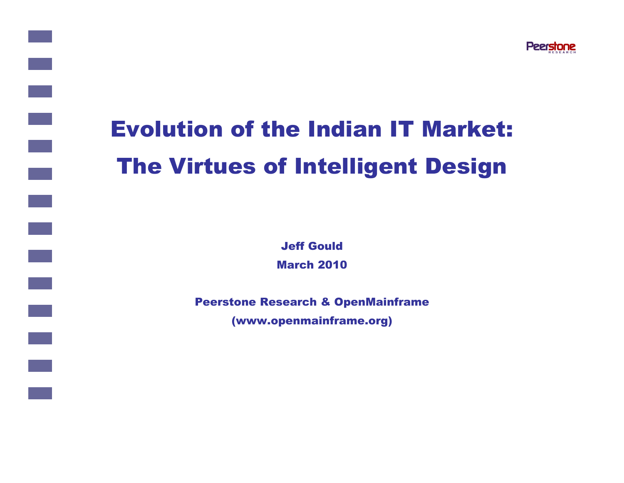

# Evolution of the Indian IT Market:The Virtues of Intelligent Design

Jeff GouldMarch 2010

Peerstone Research & OpenMainframe (www.openmainframe.org)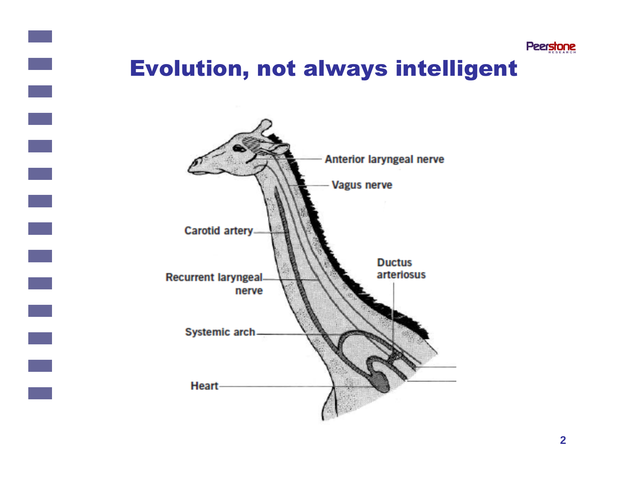

### Evolution, not always intelligent

 $\mathcal{L}^{\text{max}}$ 

 $\mathcal{L}^{\text{max}}$ 

 $\mathcal{L}^{\text{max}}_{\text{max}}$ 

 $\mathbb{R}^n$ 

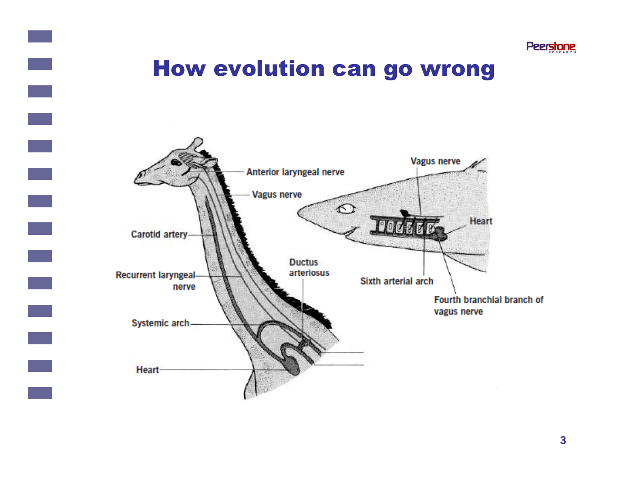

#### How evolution can go wrong

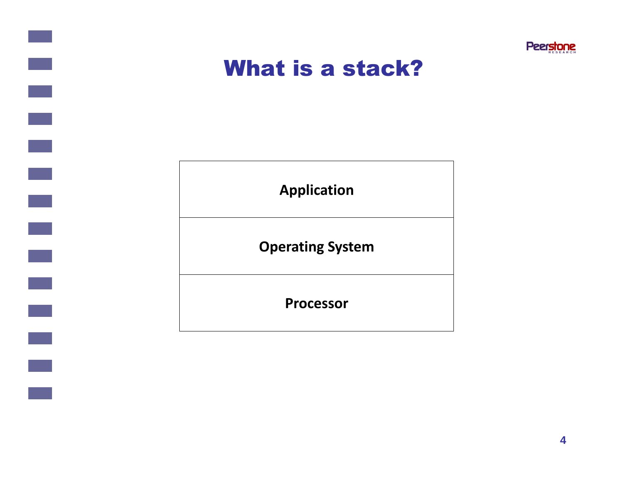

#### What is a stack?

 $\mathcal{L}^{\text{max}}_{\text{max}}$ 

**Application**

**Operating System**

**Processor**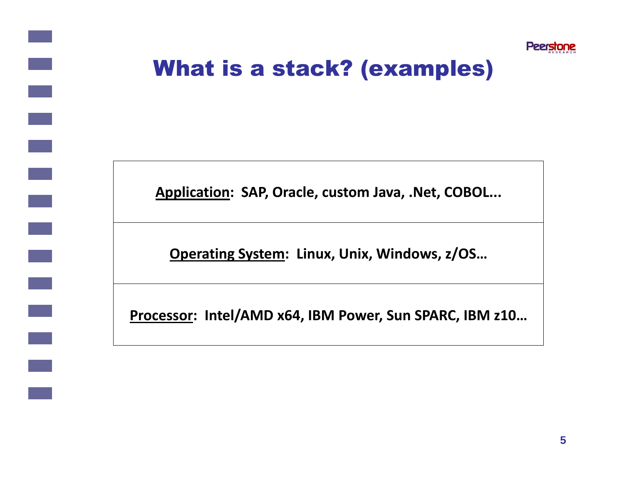

## What is a stack? (examples)

**Application: SAP, Oracle, custom Java, .Net, COBOL...**

**Operating System: Linux, Unix, Windows, z/OS…**

**Processor: Intel/AMD x64, IBM Power, Sun SPARC, IBM z10…**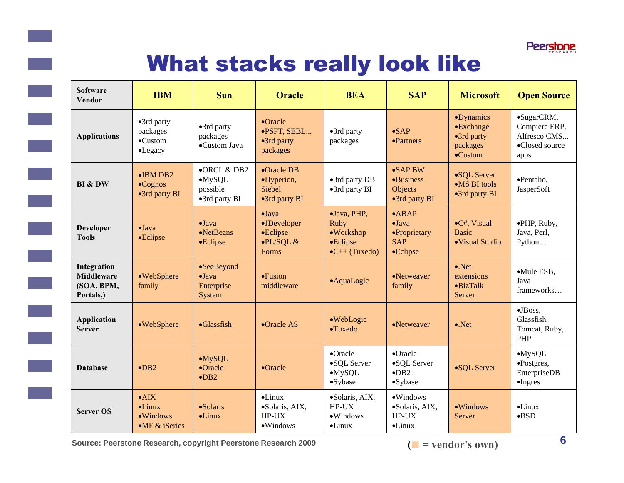

## What stacks really look like

| <b>Software</b><br><b>Vendor</b>                            | <b>IBM</b>                                                                      | <b>Sun</b>                                                             | <b>Oracle</b>                                                            | <b>BEA</b>                                                                                                                                                    | <b>SAP</b>                                                  | <b>Microsoft</b>                                                     | <b>Open Source</b>                                                    |
|-------------------------------------------------------------|---------------------------------------------------------------------------------|------------------------------------------------------------------------|--------------------------------------------------------------------------|---------------------------------------------------------------------------------------------------------------------------------------------------------------|-------------------------------------------------------------|----------------------------------------------------------------------|-----------------------------------------------------------------------|
| <b>Applications</b>                                         | •3rd party<br>packages<br>$\bullet$ Custom<br>•Legacy                           | $\bullet$ 3rd party<br>packages<br>•Custom Java                        | •Oracle<br>·PSFT, SEBL<br>•3rd party<br>packages                         | $\bullet$ SAP<br>•3rd party<br>packages<br>•Partners                                                                                                          |                                                             | •Dynamics<br>•Exchange<br>•3rd party<br>packages<br>$\bullet$ Custom | •SugarCRM,<br>Compiere ERP,<br>Alfresco CMS<br>•Closed source<br>apps |
| BI & DW                                                     | $\bullet$ IBM DB2<br>$\bullet$ Cognos<br>•3rd party BI                          | $\bullet$ ORCL & DB2<br>$-MySQL$<br>possible<br>$\bullet$ 3rd party BI | $\bullet$ Oracle DB<br>•Hyperion,<br>Siebel<br>$\bullet$ 3rd party BI    | $\bullet$ SAPBW<br>•3rd party DB<br>•Business<br>•3rd party BI<br>Objects<br>$\bullet$ 3rd party BI                                                           |                                                             | •SQL Server<br>$\bullet$ MS BI tools<br>•3rd party BI                | •Pentaho,<br>JasperSoft                                               |
| <b>Developer</b><br><b>Tools</b>                            | $\bullet$ Java<br>•Eclipse                                                      | $\bullet$ Java<br>$\bullet$ NetBeans<br>•Eclipse                       | $\bullet$ Java<br>•JDeveloper<br>•Eclipse<br>$\bullet$ PL/SQL &<br>Forms | $\bullet$ ABAP<br>•Java, PHP,<br>Ruby<br>$\bullet$ Java<br>$\bullet$ Workshop<br>•Proprietary<br>•Eclipse<br><b>SAP</b><br>$\bullet$ C++ (Tuxedo)<br>•Eclipse |                                                             | •C#, Visual<br><b>Basic</b><br>·Visual Studio                        | ·PHP, Ruby,<br>Java, Perl,<br>Python                                  |
| Integration<br><b>Middleware</b><br>(SOA, BPM,<br>Portals,) | •WebSphere<br>family                                                            | •SeeBeyond<br>$\bullet$ Java<br>Enterprise<br>System                   | $\bullet$ Fusion<br>middleware                                           | •AquaLogic                                                                                                                                                    | •Netweaver<br>family                                        | $\bullet$ .Net<br>extensions<br>$\bullet$ BizTalk<br>Server          | ·Mule ESB,<br>Java<br>frameworks                                      |
| <b>Application</b><br><b>Server</b>                         | •WebSphere                                                                      | $\bullet$ Glassfish                                                    | •Oracle AS                                                               | ·WebLogic<br>·Tuxedo                                                                                                                                          | •Netweaver                                                  | $\bullet$ .Net                                                       | $\bullet$ JBoss,<br>Glassfish,<br>Tomcat, Ruby,<br>PHP                |
| <b>Database</b>                                             | $\n•$ DB2                                                                       | $-MySQL$<br>•Oracle<br>$\bullet$ DB <sub>2</sub>                       | •Oracle                                                                  | $\bullet$ Oracle<br>•SQL Server<br>$-MySQL$<br>•Sybase                                                                                                        | •Oracle<br>•SQL Server<br>$\bullet$ DB2<br>$\bullet$ Sybase | •SQL Server                                                          | $-MySQL$<br>•Postgres,<br>EnterpriseDB<br>$\bullet$ Ingres            |
| <b>Server OS</b>                                            | $\bullet$ AIX<br>$\bullet$ Linux<br>$\bullet$ Windows<br>$\bullet$ MF & iSeries | $\bullet$ Solaris<br>$\bullet$ Linux                                   | $\bullet$ Linux<br>·Solaris, AIX,<br>HP-UX<br>$\bullet$ Windows          | ·Solaris, AIX,<br>$HP-UX$<br>$\bullet$ Windows<br>$\bullet$ Linux                                                                                             | ·Windows<br>·Solaris, AIX,<br>$HP-UX$<br>$\bullet$ Linux    | $\bullet$ Windows<br>Server                                          | $\bullet$ Linux<br>$-BSD$                                             |

**Source: Peerstone Research, copyright Peerstone Research 2009**

 $\left($   $\blacksquare$  = vendor's own)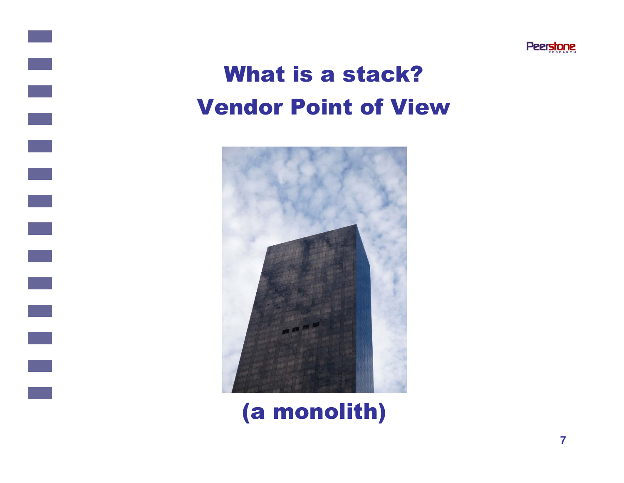

## What is a stack? Vendor Point of View

e.



## (a monolith)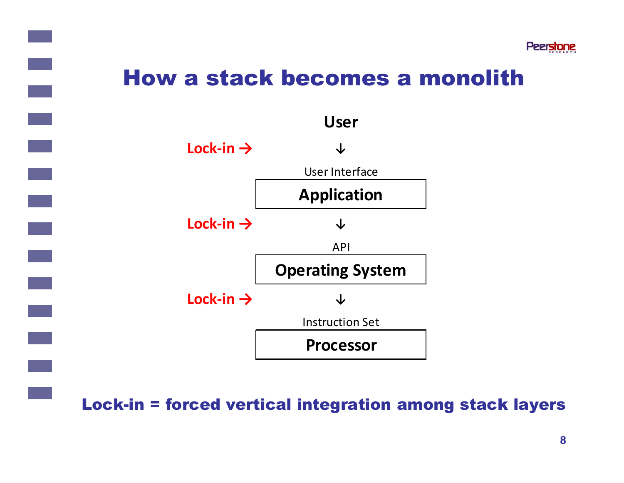

#### How a stack becomes a monolith



Loc k-in = forced vertical integration among stack layers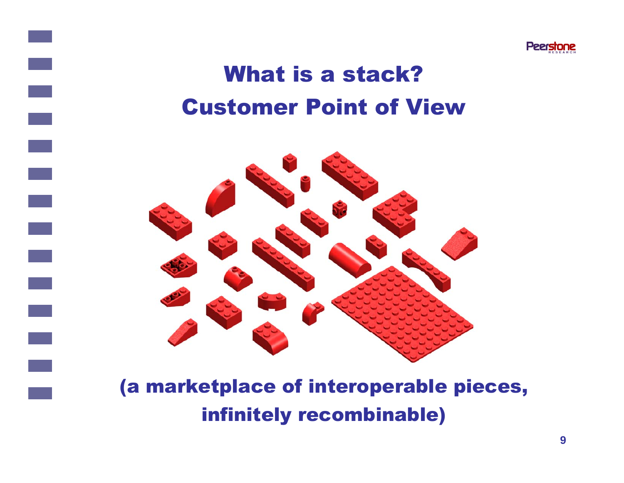

## What is a stack? Customer Point of View

 $\mathbb{R}^n$ 



#### (a market place of intero perable pieces , (a marketplace of interoperable pieces,<br>infinitely recombinable)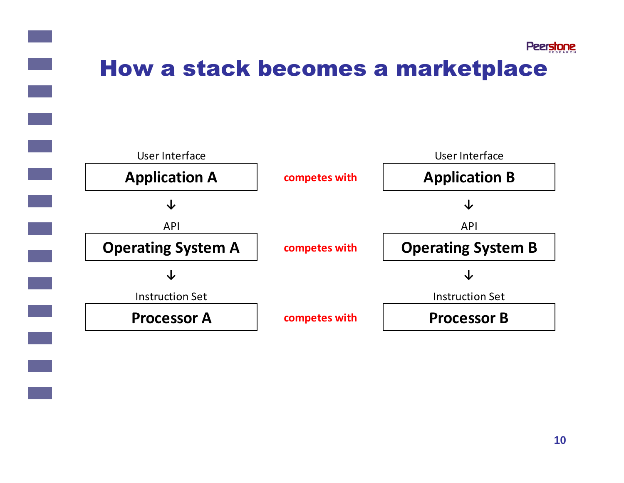

### How a stack becomes a marketplace

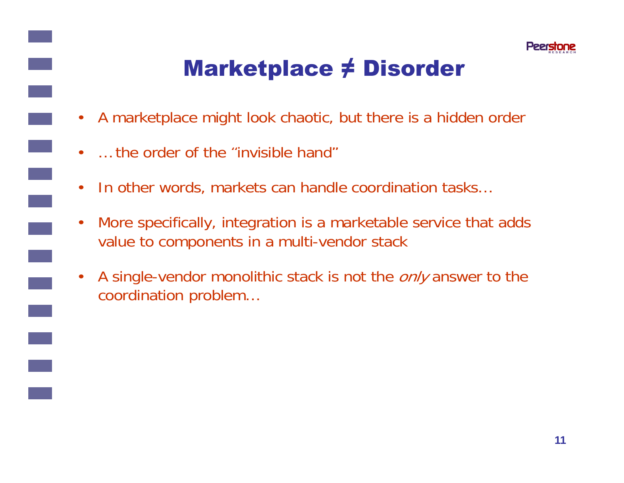

## Marketplace ≠ Disorder

- A marketplace might look chaotic, but there is a hidden order
- • $\dots$  the order of the "invisible hand"
- $\bullet$ In other words, markets can handle coordination tasks…
- $\bullet$  More specifically, integration is a marketable service that adds value to components in a multi-vendor stack
- $\bullet$ A single-vendor monolithic stack is not the *only* answer to the coordination problem…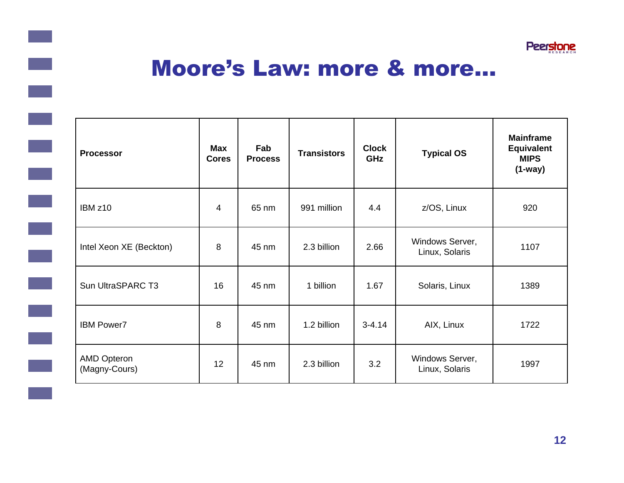

#### Moore's Law: more & more…

 $\mathcal{L}^{\text{max}}_{\text{max}}$ 

 $\mathcal{L}(\mathcal{L})$ 

| <b>Processor</b>                    | <b>Max</b><br><b>Cores</b> | Fab<br><b>Process</b> | <b>Transistors</b> | <b>Clock</b><br>GHz | <b>Typical OS</b>                 | <b>Mainframe</b><br><b>Equivalent</b><br><b>MIPS</b><br>$(1-way)$ |
|-------------------------------------|----------------------------|-----------------------|--------------------|---------------------|-----------------------------------|-------------------------------------------------------------------|
| IBM <sub>z10</sub>                  | 4                          | 65 nm                 | 991 million        | 4.4                 | z/OS, Linux                       | 920                                                               |
| Intel Xeon XE (Beckton)             | 8                          | 45 nm                 | 2.3 billion        | 2.66                | Windows Server,<br>Linux, Solaris | 1107                                                              |
| Sun UltraSPARC T3                   | 16                         | 45 nm                 | 1 billion          | 1.67                | Solaris, Linux                    | 1389                                                              |
| <b>IBM Power7</b>                   | 8                          | 45 nm                 | 1.2 billion        | $3 - 4.14$          | AIX, Linux                        | 1722                                                              |
| <b>AMD Opteron</b><br>(Magny-Cours) | 12                         | 45 nm                 | 2.3 billion        | 3.2                 | Windows Server,<br>Linux, Solaris | 1997                                                              |